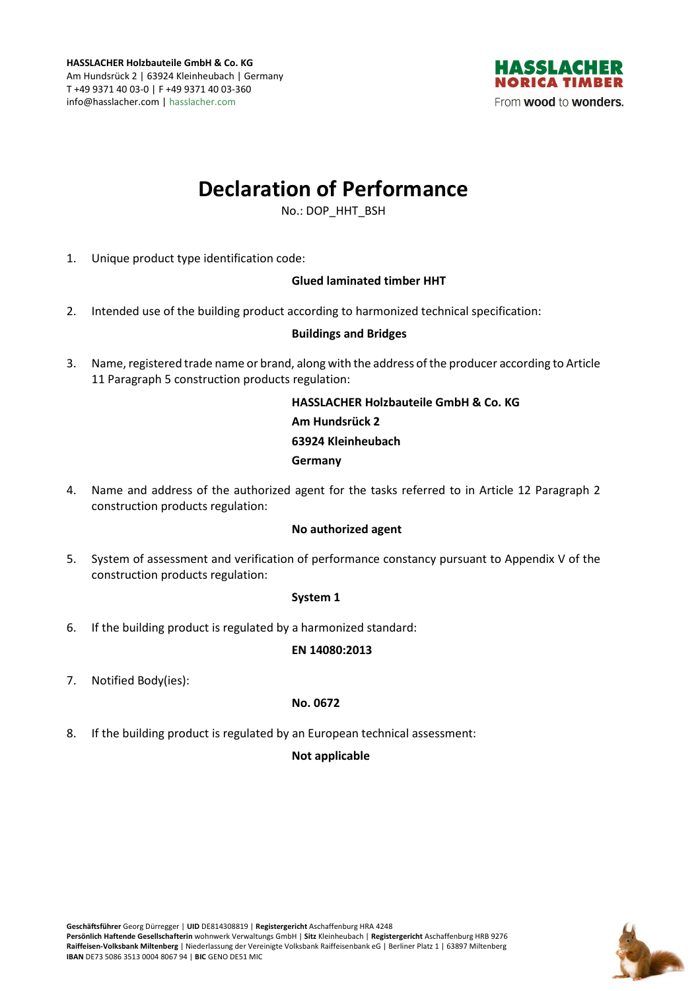

# **Declaration of Performance**

No.: DOP\_HHT\_BSH

1. Unique product type identification code:

## **Glued laminated timber HHT**

2. Intended use of the building product according to harmonized technical specification:

## **Buildings and Bridges**

3. Name, registered trade name or brand, along with the address of the producer according to Article 11 Paragraph 5 construction products regulation:

> **HASSLACHER Holzbauteile GmbH & Co. KG Am Hundsrück 2 63924 Kleinheubach Germany**

4. Name and address of the authorized agent for the tasks referred to in Article 12 Paragraph 2 construction products regulation:

### **No authorized agent**

5. System of assessment and verification of performance constancy pursuant to Appendix V of the construction products regulation:

### **System 1**

6. If the building product is regulated by a harmonized standard:

### **EN 14080:2013**

7. Notified Body(ies):

### **No. 0672**

8. If the building product is regulated by an European technical assessment:

### **Not applicable**

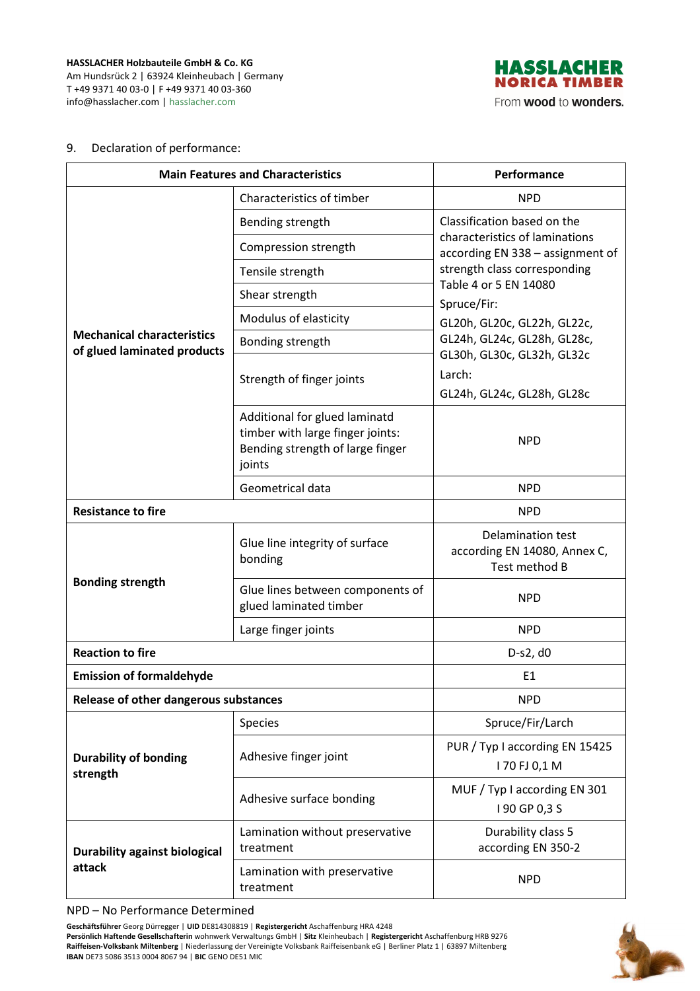**HASSLACHER Holzbauteile GmbH & Co. KG**  Am Hundsrück 2 | 63924 Kleinheubach | Germany T +49 9371 40 03-0 | F +49 9371 40 03-360 info@hasslacher.com | hasslacher.com



#### 9. Declaration of performance:

| <b>Main Features and Characteristics</b>                         |                                                                                                                 | Performance                                                                                                                                                                                                                                                                    |
|------------------------------------------------------------------|-----------------------------------------------------------------------------------------------------------------|--------------------------------------------------------------------------------------------------------------------------------------------------------------------------------------------------------------------------------------------------------------------------------|
| <b>Mechanical characteristics</b><br>of glued laminated products | Characteristics of timber                                                                                       | <b>NPD</b>                                                                                                                                                                                                                                                                     |
|                                                                  | Bending strength                                                                                                | Classification based on the                                                                                                                                                                                                                                                    |
|                                                                  | Compression strength                                                                                            | characteristics of laminations<br>according EN 338 - assignment of<br>strength class corresponding<br>Table 4 or 5 EN 14080<br>Spruce/Fir:<br>GL20h, GL20c, GL22h, GL22c,<br>GL24h, GL24c, GL28h, GL28c,<br>GL30h, GL30c, GL32h, GL32c<br>Larch:<br>GL24h, GL24c, GL28h, GL28c |
|                                                                  | Tensile strength                                                                                                |                                                                                                                                                                                                                                                                                |
|                                                                  | Shear strength                                                                                                  |                                                                                                                                                                                                                                                                                |
|                                                                  | Modulus of elasticity                                                                                           |                                                                                                                                                                                                                                                                                |
|                                                                  | Bonding strength                                                                                                |                                                                                                                                                                                                                                                                                |
|                                                                  | Strength of finger joints                                                                                       |                                                                                                                                                                                                                                                                                |
|                                                                  | Additional for glued laminatd<br>timber with large finger joints:<br>Bending strength of large finger<br>joints | <b>NPD</b>                                                                                                                                                                                                                                                                     |
|                                                                  | Geometrical data                                                                                                | <b>NPD</b>                                                                                                                                                                                                                                                                     |
| <b>Resistance to fire</b>                                        |                                                                                                                 | <b>NPD</b>                                                                                                                                                                                                                                                                     |
| <b>Bonding strength</b>                                          | Glue line integrity of surface<br>bonding                                                                       | <b>Delamination test</b><br>according EN 14080, Annex C,<br>Test method B                                                                                                                                                                                                      |
|                                                                  | Glue lines between components of<br>glued laminated timber                                                      | <b>NPD</b>                                                                                                                                                                                                                                                                     |
|                                                                  | Large finger joints                                                                                             | <b>NPD</b>                                                                                                                                                                                                                                                                     |
| <b>Reaction to fire</b>                                          |                                                                                                                 | D-s2, d0                                                                                                                                                                                                                                                                       |
| <b>Emission of formaldehyde</b>                                  |                                                                                                                 | E <sub>1</sub>                                                                                                                                                                                                                                                                 |
| Release of other dangerous substances                            |                                                                                                                 | <b>NPD</b>                                                                                                                                                                                                                                                                     |
| <b>Durability of bonding</b><br>strength                         | Species                                                                                                         | Spruce/Fir/Larch                                                                                                                                                                                                                                                               |
|                                                                  | Adhesive finger joint                                                                                           | PUR / Typ I according EN 15425<br>170 FJ 0,1 M                                                                                                                                                                                                                                 |
|                                                                  | Adhesive surface bonding                                                                                        | MUF / Typ I according EN 301<br>I 90 GP 0,3 S                                                                                                                                                                                                                                  |
| <b>Durability against biological</b><br>attack                   | Lamination without preservative<br>treatment                                                                    | Durability class 5<br>according EN 350-2                                                                                                                                                                                                                                       |
|                                                                  | Lamination with preservative<br>treatment                                                                       | <b>NPD</b>                                                                                                                                                                                                                                                                     |

NPD – No Performance Determined

**Geschäftsführer** Georg Dürregger | **UID** DE814308819 | **Registergericht** Aschaffenburg HRA 4248 **Persönlich Haftende Gesellschafterin** wohnwerk Verwaltungs GmbH | **Sitz** Kleinheubach | **Registergericht** Aschaffenburg HRB 9276 **Raiffeisen-Volksbank Miltenberg** | Niederlassung der Vereinigte Volksbank Raiffeisenbank eG | Berliner Platz 1 | 63897 Miltenberg **IBAN** DE73 5086 3513 0004 8067 94 | **BIC** GENO DE51 MIC